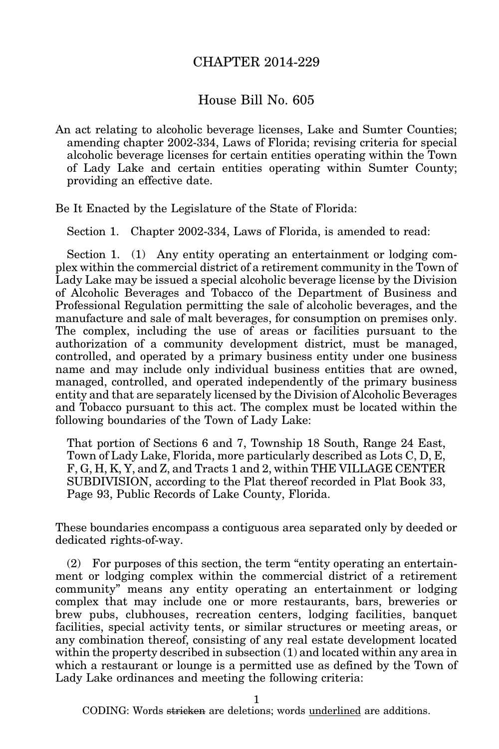## CHAPTER 2014-229

## House Bill No. 605

An act relating to alcoholic beverage licenses, Lake and Sumter Counties; amending chapter 2002-334, Laws of Florida; revising criteria for special alcoholic beverage licenses for certain entities operating within the Town of Lady Lake and certain entities operating within Sumter County; providing an effective date.

Be It Enacted by the Legislature of the State of Florida:

Section 1. Chapter 2002-334, Laws of Florida, is amended to read:

Section 1. (1) Any entity operating an entertainment or lodging complex within the commercial district of a retirement community in the Town of Lady Lake may be issued a special alcoholic beverage license by the Division of Alcoholic Beverages and Tobacco of the Department of Business and Professional Regulation permitting the sale of alcoholic beverages, and the manufacture and sale of malt beverages, for consumption on premises only. The complex, including the use of areas or facilities pursuant to the authorization of a community development district, must be managed, controlled, and operated by a primary business entity under one business name and may include only individual business entities that are owned, managed, controlled, and operated independently of the primary business entity and that are separately licensed by the Division of Alcoholic Beverages and Tobacco pursuant to this act. The complex must be located within the following boundaries of the Town of Lady Lake:

That portion of Sections 6 and 7, Township 18 South, Range 24 East, Town of Lady Lake, Florida, more particularly described as Lots C, D, E, F, G, H, K, Y, and Z, and Tracts 1 and 2, within THE VILLAGE CENTER SUBDIVISION, according to the Plat thereof recorded in Plat Book 33, Page 93, Public Records of Lake County, Florida.

These boundaries encompass a contiguous area separated only by deeded or dedicated rights-of-way.

(2) For purposes of this section, the term "entity operating an entertainment or lodging complex within the commercial district of a retirement community" means any entity operating an entertainment or lodging complex that may include one or more restaurants, bars, breweries or brew pubs, clubhouses, recreation centers, lodging facilities, banquet facilities, special activity tents, or similar structures or meeting areas, or any combination thereof, consisting of any real estate development located within the property described in subsection (1) and located within any area in which a restaurant or lounge is a permitted use as defined by the Town of Lady Lake ordinances and meeting the following criteria:

1

CODING: Words stricken are deletions; words underlined are additions.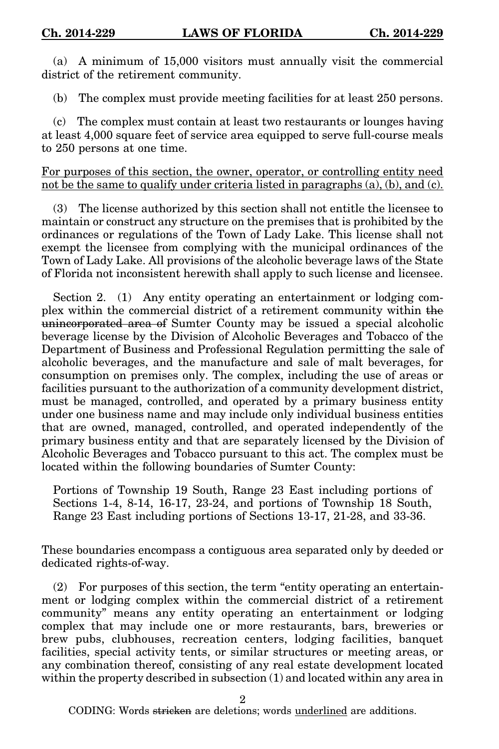(a) A minimum of 15,000 visitors must annually visit the commercial district of the retirement community.

(b) The complex must provide meeting facilities for at least 250 persons.

(c) The complex must contain at least two restaurants or lounges having at least 4,000 square feet of service area equipped to serve full-course meals to 250 persons at one time.

For purposes of this section, the owner, operator, or controlling entity need not be the same to qualify under criteria listed in paragraphs (a), (b), and (c).

(3) The license authorized by this section shall not entitle the licensee to maintain or construct any structure on the premises that is prohibited by the ordinances or regulations of the Town of Lady Lake. This license shall not exempt the licensee from complying with the municipal ordinances of the Town of Lady Lake. All provisions of the alcoholic beverage laws of the State of Florida not inconsistent herewith shall apply to such license and licensee.

Section 2. (1) Any entity operating an entertainment or lodging complex within the commercial district of a retirement community within the unincorporated area of Sumter County may be issued a special alcoholic beverage license by the Division of Alcoholic Beverages and Tobacco of the Department of Business and Professional Regulation permitting the sale of alcoholic beverages, and the manufacture and sale of malt beverages, for consumption on premises only. The complex, including the use of areas or facilities pursuant to the authorization of a community development district, must be managed, controlled, and operated by a primary business entity under one business name and may include only individual business entities that are owned, managed, controlled, and operated independently of the primary business entity and that are separately licensed by the Division of Alcoholic Beverages and Tobacco pursuant to this act. The complex must be located within the following boundaries of Sumter County:

Portions of Township 19 South, Range 23 East including portions of Sections 1-4, 8-14, 16-17, 23-24, and portions of Township 18 South, Range 23 East including portions of Sections 13-17, 21-28, and 33-36.

These boundaries encompass a contiguous area separated only by deeded or dedicated rights-of-way.

(2) For purposes of this section, the term "entity operating an entertainment or lodging complex within the commercial district of a retirement community" means any entity operating an entertainment or lodging complex that may include one or more restaurants, bars, breweries or brew pubs, clubhouses, recreation centers, lodging facilities, banquet facilities, special activity tents, or similar structures or meeting areas, or any combination thereof, consisting of any real estate development located within the property described in subsection (1) and located within any area in

2

CODING: Words <del>stricken</del> are deletions; words <u>underlined</u> are additions.